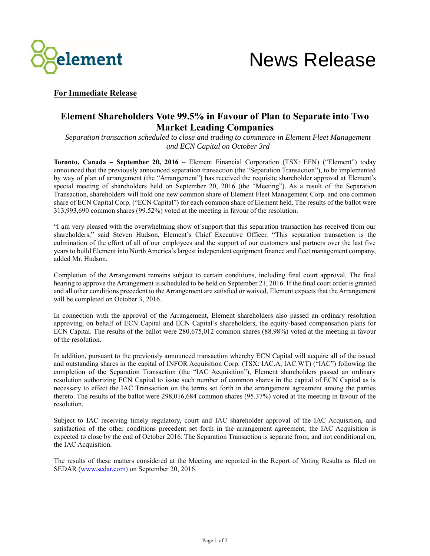



## **For Immediate Release**

## **Element Shareholders Vote 99.5% in Favour of Plan to Separate into Two Market Leading Companies**

*Separation transaction scheduled to close and trading to commence in Element Fleet Management and ECN Capital on October 3rd*

**Toronto, Canada – September 20, 2016** – Element Financial Corporation (TSX: EFN) ("Element") today announced that the previously announced separation transaction (the "Separation Transaction"), to be implemented by way of plan of arrangement (the "Arrangement") has received the requisite shareholder approval at Element's special meeting of shareholders held on September 20, 2016 (the "Meeting"). As a result of the Separation Transaction, shareholders will hold one new common share of Element Fleet Management Corp. and one common share of ECN Capital Corp. ("ECN Capital") for each common share of Element held. The results of the ballot were 313,993,690 common shares (99.52%) voted at the meeting in favour of the resolution.

"I am very pleased with the overwhelming show of support that this separation transaction has received from our shareholders," said Steven Hudson, Element's Chief Executive Officer. "This separation transaction is the culmination of the effort of all of our employees and the support of our customers and partners over the last five years to build Element into North America's largest independent equipment finance and fleet management company, added Mr. Hudson.

Completion of the Arrangement remains subject to certain conditions, including final court approval. The final hearing to approve the Arrangement is scheduled to be held on September 21, 2016. If the final court order is granted and all other conditions precedent to the Arrangement are satisfied or waived, Element expects that the Arrangement will be completed on October 3, 2016.

In connection with the approval of the Arrangement, Element shareholders also passed an ordinary resolution approving, on behalf of ECN Capital and ECN Capital's shareholders, the equity-based compensation plans for ECN Capital. The results of the ballot were 280,675,012 common shares (88.98%) voted at the meeting in favour of the resolution.

In addition, pursuant to the previously announced transaction whereby ECN Capital will acquire all of the issued and outstanding shares in the capital of INFOR Acquisition Corp. (TSX: IAC.A, IAC.WT) ("IAC") following the completion of the Separation Transaction (the "IAC Acquisition"), Element shareholders passed an ordinary resolution authorizing ECN Capital to issue such number of common shares in the capital of ECN Capital as is necessary to effect the IAC Transaction on the terms set forth in the arrangement agreement among the parties thereto. The results of the ballot were 298,016,684 common shares (95.37%) voted at the meeting in favour of the resolution.

Subject to IAC receiving timely regulatory, court and IAC shareholder approval of the IAC Acquisition, and satisfaction of the other conditions precedent set forth in the arrangement agreement, the IAC Acquisition is expected to close by the end of October 2016. The Separation Transaction is separate from, and not conditional on, the IAC Acquisition.

The results of these matters considered at the Meeting are reported in the Report of Voting Results as filed on SEDAR [\(www.sedar.com\)](http://www.sedar.com/) on September 20, 2016.